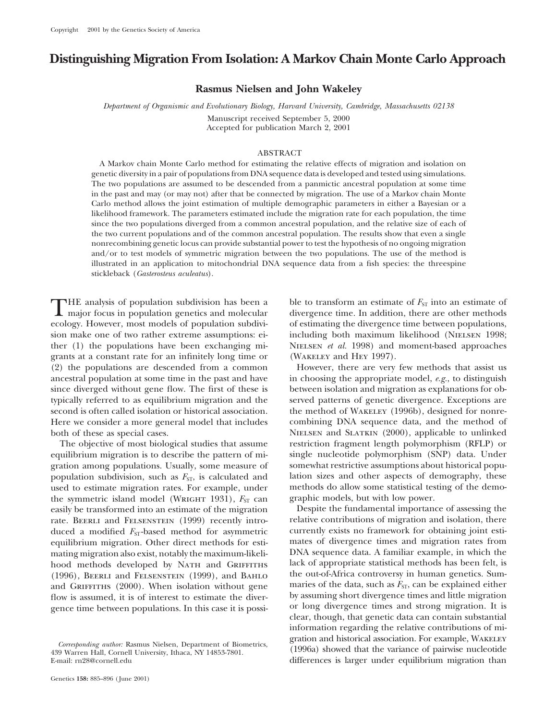# **Distinguishing Migration From Isolation: A Markov Chain Monte Carlo Approach**

**Rasmus Nielsen and John Wakeley**

*Department of Organismic and Evolutionary Biology, Harvard University, Cambridge, Massachusetts 02138*

Manuscript received September 5, 2000 Accepted for publication March 2, 2001

## ABSTRACT

A Markov chain Monte Carlo method for estimating the relative effects of migration and isolation on genetic diversity in a pair of populations from DNA sequence data is developed and tested using simulations. The two populations are assumed to be descended from a panmictic ancestral population at some time in the past and may (or may not) after that be connected by migration. The use of a Markov chain Monte Carlo method allows the joint estimation of multiple demographic parameters in either a Bayesian or a likelihood framework. The parameters estimated include the migration rate for each population, the time since the two populations diverged from a common ancestral population, and the relative size of each of the two current populations and of the common ancestral population. The results show that even a single nonrecombining genetic locus can provide substantial power to test the hypothesis of no ongoing migration and/or to test models of symmetric migration between the two populations. The use of the method is illustrated in an application to mitochondrial DNA sequence data from a fish species: the threespine stickleback (*Gasterosteus aculeatus*).

THE analysis of population subdivision has been a ble to transform an estimate of  $F_{ST}$  into an estimate of major focus in population genetics and molecular divergence time. In addition, there are other methods analysis ecology. However, most models of population subdivi- of estimating the divergence time between populations, sion make one of two rather extreme assumptions: ei-<br>including both maximum likelihood (NIELSEN 1998; ther (1) the populations have been exchanging mi- Nielsen *et al.* 1998) and moment-based approaches grants at a constant rate for an infinitely long time or (Wakeley and Hey 1997). (2) the populations are descended from a common However, there are very few methods that assist us ancestral population at some time in the past and have in choosing the appropriate model, *e.g.*, to distinguish since diverged without gene flow. The first of these is between isolation and migration as explanations for obtypically referred to as equilibrium migration and the served patterns of genetic divergence. Exceptions are second is often called isolation or historical association. the method of WAKELEY (1996b), designed for nonre-Here we consider a more general model that includes combining DNA sequence data, and the method of both of these as special cases. NIELSEN and SLATKIN (2000), applicable to unlinked

equilibrium migration is to describe the pattern of mi- single nucleotide polymorphism (SNP) data. Under gration among populations. Usually, some measure of somewhat restrictive assumptions about historical popupopulation subdivision, such as *F<sub>ST</sub>*, is calculated and lation sizes and other aspects of demography, these used to estimate migration rates. For example, under methods do allow some statistical testing of the demothe symmetric island model (WRIGHT 1931),  $F_{ST}$  can graphic models, but with low power. easily be transformed into an estimate of the migration Despite the fundamental importance of assessing the rate. BEERLI and FELSENSTEIN (1999) recently intro- relative contributions of migration and isolation, there duced a modified *F*<sub>ST</sub>-based method for asymmetric currently exists no framework for obtaining joint estiequilibrium migration. Other direct methods for esti- mates of divergence times and migration rates from mating migration also exist, notably the maximum-likeli-<br>  $\frac{DNA}{N}$  sequence data. A familiar example, in which the<br>
hood methods developed by NATH and GRIFFITHS lack of appropriate statistical methods has been felt, is hood methods developed by NATH and GRIFFITHS and GRIFFITHS (2000). When isolation without gene maries of the data, such as  $F_{ST}$ , can be explained either flow is assumed, it is of interest to estimate the diver-<br>by assuming short divergence times and little migrati flow is assumed, it is of interest to estimate the diver-<br>gence times and strong migration. It is<br>or long divergence times and strong migration. It is gence time between populations. In this case it is possi-

The objective of most biological studies that assume restriction fragment length polymorphism (RFLP) or

(1996), Beerli and Felsenstein (1999), and Bahlo the out-of-Africa controversy in human genetics. Sumclear, though, that genetic data can contain substantial information regarding the relative contributions of migration and historical association. For example, Wakeley *Corresponding author:* Rasmus Nielsen, Department of Biometrics, *Although the Internet also endered association* 1 of enample, *William 439 Warren Hall, Cornell University, Ithaca, NY 14853-7801. (1996a) showed that th* E-mail: rn28@cornell.edu differences is larger under equilibrium migration than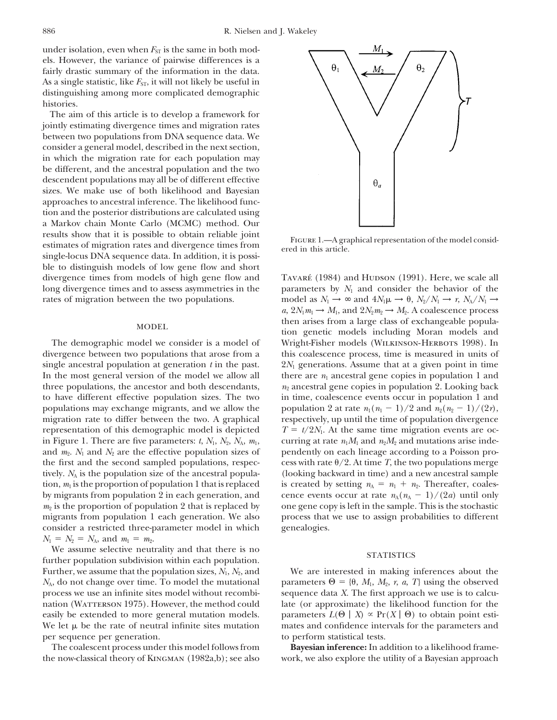under isolation, even when  $F_{ST}$  is the same in both models. However, the variance of pairwise differences is a fairly drastic summary of the information in the data. As a single statistic, like  $F_{ST}$ , it will not likely be useful in distinguishing among more complicated demographic histories.

The aim of this article is to develop a framework for jointly estimating divergence times and migration rates between two populations from DNA sequence data. We consider a general model, described in the next section, in which the migration rate for each population may be different, and the ancestral population and the two descendent populations may all be of different effective sizes. We make use of both likelihood and Bayesian approaches to ancestral inference. The likelihood function and the posterior distributions are calculated using a Markov chain Monte Carlo (MCMC) method. Our results show that it is possible to obtain reliable joint<br>
FIGURE 1.—A graphical representation of the model consid-<br>
ered in this article. single-locus DNA sequence data. In addition, it is possible to distinguish models of low gene flow and short

consider a restricted three-parameter model in which genealogies.  $N_1 = N_2 = N_A$ , and  $m_1 = m_2$ .

We assume selective neutrality and that there is no STATISTICS further population subdivision within each population. Further, we assume that the population sizes,  $N_1$ ,  $N_2$ , and We are interested in making inferences about the  $N_A$ , do not change over time. To model the mutational parameters  $\Theta = \{\theta, M_1, M_2, r, a, T\}$  using the observed process we use an infinite sites model without recombi- sequence data *X.* The first approach we use is to calcunation (WATTERSON 1975). However, the method could late (or approximate) the likelihood function for the easily be extended to more general mutation models. parameters  $L(\Theta | X) \propto Pr(X | \Theta)$  to obtain point esti-<br>We let  $\mu$  be the rate of neutral infinite sites mutation mates and confidence intervals for the parameters and We let  $\mu$  be the rate of neutral infinite sites mutation per sequence per generation. to perform statistical tests.



divergence times from models of high gene flow and Tavaret (1984) and Hubson (1991). Here, we scale all long divergence times and to assess asymmetries in the parameters by  $N_1$  and consider the behavior of the rates of migration between the two populations. model as  $N_1 \to \infty$  and  $4N_1\mu \to \theta$ ,  $N_2/N_1 \to r$ ,  $N_A/N_1 \to \infty$  $a, 2N_1m_1 \rightarrow M_1$ , and  $2N_2m_2 \rightarrow M_2$ . A coalescence process then arises from a large class of exchangeable popula-MODEL tion arises from a large class of exemingeable popula-<br>tion genetic models including Moran models and The demographic model we consider is a model of Wright-Fisher models (WILKINSON-HERBOTS 1998). In divergence between two populations that arose from a this coalescence process, time is measured in units of single ancestral population at generation  $t$  in the past.  $2N_1$  generations. Assume that at a given point in time In the most general version of the model we allow all there are  $n_1$  ancestral gene copies in population 1 and three populations, the ancestor and both descendants,  $n_2$  ancestral gene copies in population 2. Looking back to have different effective population sizes. The two in time, coalescence events occur in population 1 and populations may exchange migrants, and we allow the population 2 at rate  $n_1(n_1 - 1)/2$  and  $n_2(n_2 - 1)/(2r)$ , migration rate to differ between the two. A graphical respectively, up until the time of population divergence representation of this demographic model is depicted  $T = t/2N_1$ . At the same time migration events are ocin Figure 1. There are five parameters: *t*, *N*<sub>1</sub>, *N*<sub>2</sub>, *N*<sub>4</sub>, *m*<sub>1</sub>, curring at rate  $n_1M_1$  and  $n_2M_2$  and mutations arise indeand  $m_2$ .  $N_1$  and  $N_2$  are the effective population sizes of pendently on each lineage according to a Poisson prothe first and the second sampled populations, respec- cess with rate  $\theta/2$ . At time *T*, the two populations merge tively.  $N_A$  is the population size of the ancestral popula- (looking backward in time) and a new ancestral sample tion,  $m_1$  is the proportion of population 1 that is replaced is created by setting  $n_A = n_1 + n_2$ . Thereafter, coalesby migrants from population 2 in each generation, and cence events occur at rate  $n_A(n_A - 1)/(2a)$  until only  $m_2$  is the proportion of population 2 that is replaced by one gene copy is left in the sample. This is the stochastic migrants from population 1 each generation. We also process that we use to assign probabilities to different

The coalescent process under this model follows from **Bayesian inference:** In addition to a likelihood framethe now-classical theory of KINGMAN (1982a,b); see also work, we also explore the utility of a Bayesian approach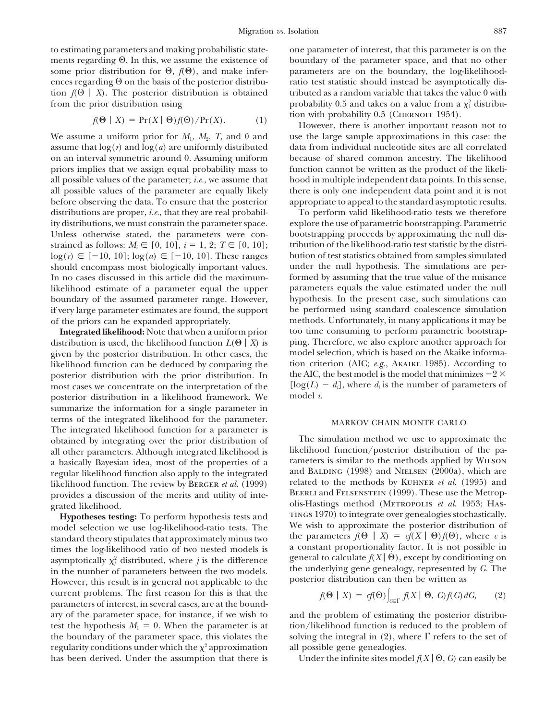to estimating parameters and making probabilistic state- one parameter of interest, that this parameter is on the ments regarding  $\Theta$ . In this, we assume the existence of boundary of the parameter space, and that no other some prior distribution for  $\Theta$ ,  $f(\Theta)$ , and make infer- parameters are on the boundary, the log-likelihoodences regarding  $\Theta$  on the basis of the posterior distribu- ratio test statistic should instead be asymptotically distion  $f(\Theta \mid X)$ . The posterior distribution is obtained tributed as a random variable that takes the value 0 with from the prior distribution using probability 0.5 and takes on a value from a  $\chi_1^2$  distribu-

$$
f(\Theta \mid X) = \Pr(X \mid \Theta) f(\Theta) / \Pr(X). \tag{1}
$$

assume that  $log(r)$  and  $log(a)$  are uniformly distributed data from individual nucleotide sites are all correlated on an interval symmetric around 0. Assuming uniform because of shared common ancestry. The likelihood priors implies that we assign equal probability mass to function cannot be written as the product of the likeliall possible values of the parameter; *i.e.*, we assume that hood in multiple independent data points. In this sense, all possible values of the parameter are equally likely there is only one independent data point and it is not before observing the data. To ensure that the posterior appropriate to appeal to the standard asymptotic results. distributions are proper, *i.e.*, that they are real probabil- To perform valid likelihood-ratio tests we therefore ity distributions, we must constrain the parameter space. explore the use of parametric bootstrapping. Parametric Unless otherwise stated, the parameters were con-<br>bootstrapping proceeds by approximating the null disstrained as follows:  $M_i \in [0, 10]$ ,  $i = 1, 2$ ;  $T \in [0, 10]$ ; tribution of the likelihood-ratio test statistic by the distri $log(r) \in [-10, 10]$ ;  $log(a) \in [-10, 10]$ . These ranges bution of test statistics obtained from samples simulated should encompass most biologically important values. under the null hypothesis. The simulations are per-In no cases discussed in this article did the maximum- formed by assuming that the true value of the nuisance likelihood estimate of a parameter equal the upper parameters equals the value estimated under the null boundary of the assumed parameter range. However, hypothesis. In the present case, such simulations can if very large parameter estimates are found, the support be performed using standard coalescence simulation of the priors can be expanded appropriately. methods. Unfortunately, in many applications it may be

distribution is used, the likelihood function  $L(\Theta | X)$  is ping. Therefore, we also explore another approach for given by the posterior distribution. In other cases, the model selection, which is based on the Akaike inform given by the posterior distribution. In other cases, the likelihood function can be deduced by comparing the tion criterion (AIC; *e.g.*, Akaike 1985). According to posterior distribution with the prior distribution. In the AIC, the best model is the model that minimizes  $-2 \times$ most cases we concentrate on the interpretation of the  $[\log(L) - d_i]$ , where  $d_i$  is the number of parameters of posterior distribution in a likelihood framework. We model *i*. posterior distribution in a likelihood framework. We summarize the information for a single parameter in terms of the integrated likelihood for the parameter. MARKOV CHAIN MONTE CARLO The integrated likelihood function for a parameter is a basically Bayesian idea, most of the properties of a rameters is similar to the methods applied by WILSON<br>regular likelihood function also apply to the integrated and BALDING (1998) and NIELSEN (2000a), which are provides a discussion of the merits and utility of inte-

However, this result is in general not applicable to the current problems. The first reason for this is that the parameters of interest, in several cases, are at the boundary of the parameter space, for instance, if we wish to and the problem of estimating the posterior distriburegularity conditions under which the  $\chi^2$  approximation all possible gene genealogies. has been derived. Under the assumption that there is Under the infinite sites model  $f(X | \Theta, G)$  can easily be

probability 0.5 and takes on a value from a  $\chi^2$  distribution with probability 0.5 (CHERNOFF 1954).<br>*However*, there is another important reason not to

We assume a uniform prior for  $M_1$ ,  $M_2$ ,  $T$ , and  $\theta$  and use the large sample approximations in this case: the

**Integrated likelihood:** Note that when a uniform prior too time consuming to perform parametric bootstrap-

obtained by integrating over the prior distribution of The simulation method we use to approximate the all other parameters. Although integrated likelihood is likelihood function/posterior distribution of the paall other parameters. Although integrated likelihood is likelihood function/posterior distribution of the pa-<br>a basically Bayesian idea most of the properties of a rameters is similar to the methods applied by WILSON regular likelihood function also apply to the integrated and BALDING (1998) and NIELSEN (2000a), which are<br>likelihood function. The review by BERGER *et al.* (1999) related to the methods by KUHNER *et al.* (1995) and likelihood function. The review by BERGER *et al.* (1999) related to the methods by KUHNER *et al.* (1995) and provides a discussion of the merits and utility of inte-<br>BEERLI and FELSENSTEIN (1999). These use the Metropolis-Hastings method (METROPOLIS *et al.* 1953; Has-<br>Hypotheses testing: To perform hypothesis tests and TINGS 1970) to integrate over genealogies stochastically. **Hypotheses testing:** To perform hypothesis tests and tings 1970) to integrate over genealogies stochastically.<br>
odel selection we use log-likelihood-ratio tests. The We wish to approximate the posterior distribution of model selection we use log-likelihood-ratio tests. The We wish to approximate the posterior distribution of standard theory stipulates that approximately minus two the parameters  $f(\Theta | X) = cf(X | \Theta) f(\Theta)$ , where c is standard theory stipulates that approximately minus two<br>times the log-likelihood ratio of two nested models is<br>a constant proportionality factor. It is not possible in<br>asymptotically  $\chi_j^2$  distributed, where *j* is the in the number of parameters between the two models. The underlying gene genealogy, represented by *G*. The in the number of parameters between the two models. The posterior distribution can then be written as

$$
f(\Theta \mid X) = cf(\Theta) \Big|_{G \in \Gamma} f(X \mid \Theta, G) f(G) dG, \qquad (2)
$$

test the hypothesis  $M_1 = 0$ . When the parameter is at tion/likelihood function is reduced to the problem of the boundary of the parameter space, this violates the solving the integral in  $(2)$ , where  $\Gamma$  refers to the set of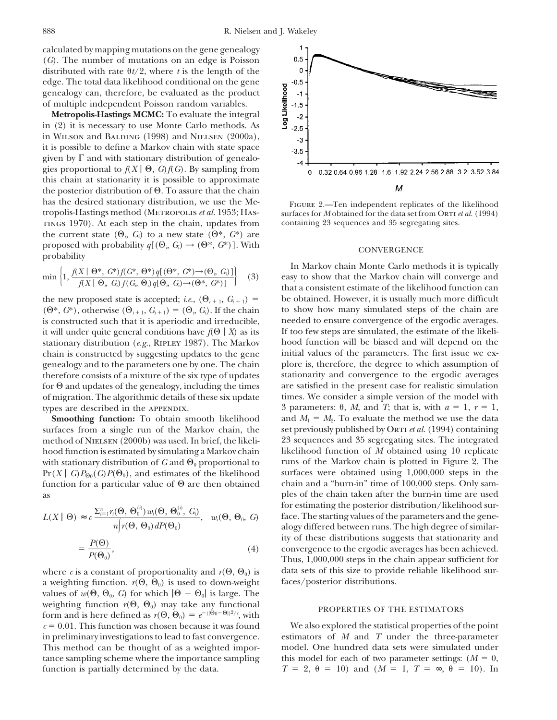calculated by mapping mutations on the gene genealogy (*G*). The number of mutations on an edge is Poisson distributed with rate  $\theta t/2$ , where *t* is the length of the edge. The total data likelihood conditional on the gene genealogy can, therefore, be evaluated as the product of multiple independent Poisson random variables.

**Metropolis-Hastings MCMC:** To evaluate the integral in (2) it is necessary to use Monte Carlo methods. As in WILSON and BALDING (1998) and NIELSEN (2000a), it is possible to define a Markov chain with state space given by  $\Gamma$  and with stationary distribution of genealogies proportional to  $f(X | \Theta, G) f(G)$ . By sampling from this chain at stationarity it is possible to approximate the posterior distribution of  $\Theta$ . To assure that the chain has the desired stationary distribution, we use the Me-<br>tropolis-Hastings method (METROPOLIS et al. 1953; HAS-<br>surfaces for Mobtained for the data set from ORTI et al. (1994) tings 1970). At each step in the chain, updates from containing 23 sequences and 35 segregating sites. the current state  $(\Theta_i, G_i)$  to a new state  $(\Theta^*, G^*)$  are proposed with probability  $q[(\Theta_i, G_i) \to (\Theta^*, G^*)]$ . With CONVERGENCE probability

$$
\min\left\{1,\frac{f(X \mid \Theta^*, G^*)f(G^*, \Theta^*)q[(\Theta^*, G^*) \to (\Theta_i, G_i)]}{f(X \mid \Theta_i, G_i)f(G_i, \Theta_i)q[\Theta_i, G_i) \to (\Theta^*, G^*)}\right\}
$$
(3)

is constructed such that it is aperiodic and irreducible, stationary distribution (*e.g.*, RIPLEY 1987). The Markov

hood function is estimated by simulating a Markov chain function for a particular value of  $\Theta$  are then obtained

$$
L(X | \Theta) \approx c \frac{\sum_{i=1}^{n} r_i(\Theta, \Theta_0^{(i)}) w_i(\Theta, \Theta_0^{(i)}, G_i)}{n \left[ r(\Theta, \Theta_0) dP(\Theta_0) \right]}, \quad w_i(\Theta, \Theta_0, G)
$$

$$
= \frac{P(\Theta)}{P(\Theta_0)}, \qquad (4)
$$

where *c* is a constant of proportionality and  $r(\Theta, \Theta_0)$  is data sets of this size to provide reliable likelihood sur-<br>a weighting function.  $r(\Theta, \Theta_0)$  is used to down-weight faces/posterior distributions. a weighting function.  $r(\Theta, \Theta_0)$  is used to down-weight values of  $w(\Theta, \Theta_0, G)$  for which  $|\Theta - \Theta_0|$  is large. The weighting function  $r(\Theta, \Theta_0)$  may take any functional weighting function *r*( $\Theta$ ,  $\Theta_0$ ) may take any functional PROPERTIES OF THE ESTIMATORS<br>form and is here defined as *r*( $\Theta$ ,  $\Theta_0$ ) =  $e^{-(|\Theta_0 - \Theta|)^2/\epsilon}$ , with  $c = 0.01$ . This function was chosen because it was found We also explored the statistical properties of the point in preliminary investigations to lead to fast convergence. estimators of *M* and *T* under the three-parameter This method can be thought of as a weighted impor- model. One hundred data sets were simulated under tance sampling scheme where the importance sampling this model for each of two parameter settings:  $(M = 0,$ function is partially determined by the data.  $T = 2, \theta = 10$  and  $(M = 1, T = \infty, \theta = 10)$ . In



In Markov chain Monte Carlo methods it is typically *<sup>f</sup>*(*<sup>X</sup>* <sup>|</sup> <sup>Q</sup>*i*, *Gi*)*f*(*Gi*, <sup>Q</sup>*i*)*q*[Q*i*, *Gi*)→(Q\*, *<sup>G</sup>*\*)] <sup>6</sup> (3) easy to show that the Markov chain will converge and that a consistent estimate of the likelihood function can the new proposed state is accepted; *i.e.*,  $(\Theta_{i+1}, G_{i+1}) =$  be obtained. However, it is usually much more difficult  $(\Theta^*, G^*)$ , otherwise  $(\Theta_{i+1}, G_{i+1}) = (\Theta_i, G_i)$ . If the chain to show how many simulated steps of the chain are is constructed such that it is aperiodic and irreducible, needed to ensure convergence of the ergodic averages. it will under quite general conditions have  $f(\Theta | X)$  as its If too few steps are simulated, the estimate of the likeli-<br>stationary distribution (*e.g.*, RIPLEY 1987). The Markoy hood function will be biased and will depen chain is constructed by suggesting updates to the gene initial values of the parameters. The first issue we exgenealogy and to the parameters one by one. The chain plore is, therefore, the degree to which assumption of therefore consists of a mixture of the six type of updates stationarity and convergence to the ergodic averages for  $\Theta$  and updates of the genealogy, including the times are satisfied in the present case for realistic simulation of migration. The algorithmic details of these six update times. We consider a simple version of the model with types are described in the appendix.  $\qquad \qquad$  3 parameters:  $\theta$ , *M*, and *T*; that is, with  $a = 1$ ,  $r = 1$ , **Smoothing function:** To obtain smooth likelihood and  $M_1 = M_2$ . To evaluate the method we use the data surfaces from a single run of the Markov chain, the set previously published by ORTI *et al.* (1994) containing method of NIELSEN (2000b) was used. In brief, the likeli- 23 sequences and 35 segregating sites. The integrate method of NIELSEN (2000b) was used. In brief, the likeli-  $23$  sequences and 35 segregating sites. The integrated hood function is estimated by simulating a Markov chain likelihood function of M obtained using 10 replicat with stationary distribution of *G* and  $\Theta_0$  proportional to runs of the Markov chain is plotted in Figure 2. The  $Pr(X \mid G)P_{\Theta_0}(G)P(\Theta_0)$ , and estimates of the likelihood surfaces were obtained using 1,000,000 steps in the function for a particular value of  $\Theta$  are then obtained chain and a "burn-in" time of 100,000 steps. Only samas ples of the chain taken after the burn-in time are used for estimating the posterior distribution/likelihood sur*face.* The starting values of the parameters and the genealogy differed between runs. The high degree of similarity of these distributions suggests that stationarity and convergence to the ergodic averages has been achieved. Thus, 1,000,000 steps in the chain appear sufficient for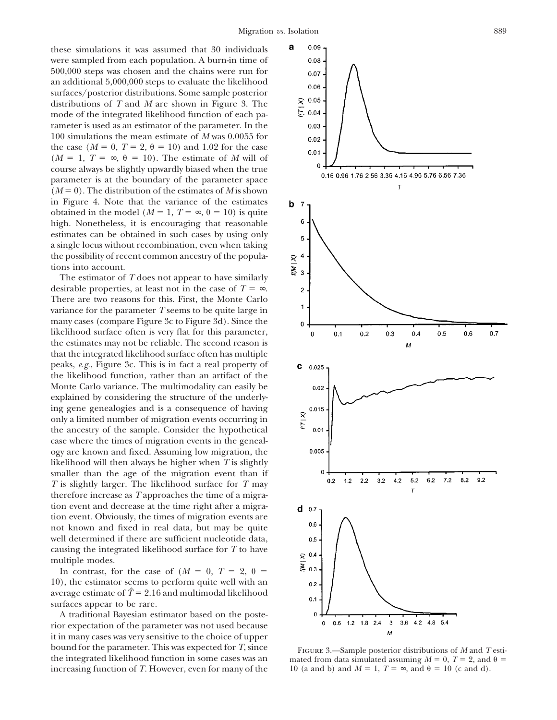these simulations it was assumed that 30 individuals were sampled from each population. A burn-in time of 500,000 steps was chosen and the chains were run for an additional 5,000,000 steps to evaluate the likelihood surfaces/posterior distributions. Some sample posterior distributions of *T* and *M* are shown in Figure 3. The mode of the integrated likelihood function of each parameter is used as an estimator of the parameter. In the 100 simulations the mean estimate of *M* was 0.0055 for the case ( $M = 0$ ,  $T = 2$ ,  $\theta = 10$ ) and 1.02 for the case  $(M = 1, T = \infty, \theta = 10)$ . The estimate of *M* will of course always be slightly upwardly biased when the true parameter is at the boundary of the parameter space  $(M = 0)$ . The distribution of the estimates of *M* is shown in Figure 4. Note that the variance of the estimates obtained in the model ( $M = 1$ ,  $T = \infty$ ,  $\theta = 10$ ) is quite high. Nonetheless, it is encouraging that reasonable estimates can be obtained in such cases by using only a single locus without recombination, even when taking the possibility of recent common ancestry of the populations into account.

The estimator of *T* does not appear to have similarly desirable properties, at least not in the case of  $T = \infty$ . There are two reasons for this. First, the Monte Carlo variance for the parameter *T* seems to be quite large in many cases (compare Figure 3c to Figure 3d). Since the likelihood surface often is very flat for this parameter, the estimates may not be reliable. The second reason is that the integrated likelihood surface often has multiple peaks, *e.g.*, Figure 3c. This is in fact a real property of the likelihood function, rather than an artifact of the Monte Carlo variance. The multimodality can easily be explained by considering the structure of the underlying gene genealogies and is a consequence of having only a limited number of migration events occurring in the ancestry of the sample. Consider the hypothetical case where the times of migration events in the genealogy are known and fixed. Assuming low migration, the likelihood will then always be higher when *T* is slightly smaller than the age of the migration event than if *T* is slightly larger. The likelihood surface for *T* may therefore increase as *T* approaches the time of a migration event and decrease at the time right after a migration event. Obviously, the times of migration events are not known and fixed in real data, but may be quite well determined if there are sufficient nucleotide data, causing the integrated likelihood surface for *T* to have multiple modes.

In contrast, for the case of  $(M = 0, T = 2, \theta =$ 10), the estimator seems to perform quite well with an average estimate of  $\hat{T} = 2.16$  and multimodal likelihood surfaces appear to be rare.

A traditional Bayesian estimator based on the posterior expectation of the parameter was not used because it in many cases was very sensitive to the choice of upper bound for the parameter. This was expected for *T*, since FIGURE 3.—Sample posterior distributions of *M* and *T* estithe integrated likelihood function in some cases was an mated from data simulated assuming  $M = 0$ ,  $T = 2$ , and  $\theta =$ increasing function of *T*. However, even for many of the 10 (a and b) and  $M = 1$ ,  $T = \infty$ , and  $\theta = 10$  (c and d).

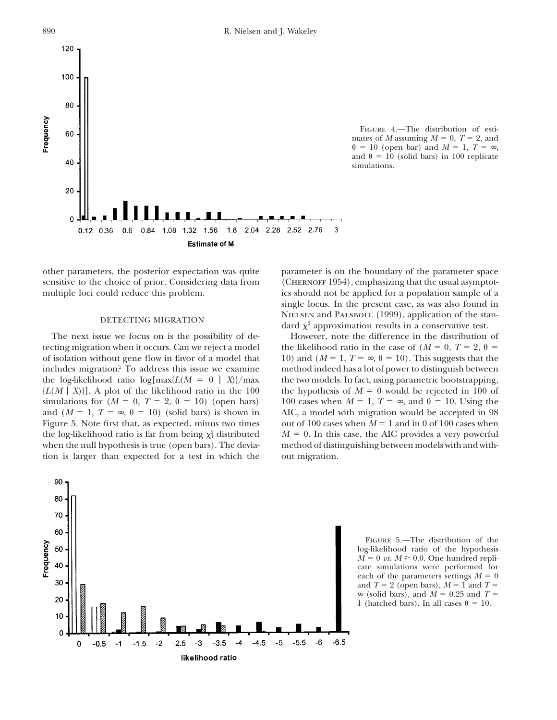

Figure 4.—The distribution of estimates of *M* assuming  $M = 0$ ,  $T = 2$ , and  $\theta = 10$  (open bar) and  $M = 1$ ,  $T = \infty$ , and  $\theta = 10$  (solid bars) in 100 replicate simulations.

other parameters, the posterior expectation was quite parameter is on the boundary of the parameter space

The next issue we focus on is the possibility of de-<br>However, note the difference in the distribution of tecting migration when it occurs. Can we reject a model the likelihood ratio in the case of  $(M = 0, T = 2, \theta = 1)$ of isolation without gene flow in favor of a model that  $10$ ) and  $(M = 1, T = \infty, \theta = 10)$ . This suggests that the includes migration? To address this issue we examine method indeed has a lot of power to distinguish between the log-likelihood ratio log[max{*L*(*M* = 0 | *X*)}/max the two models. In fact, using parametric bootstrapping, {*L*(*M* | *X*)}]. A plot of the likelihood ratio in the 100 the hypothesis of  $M = 0$  would be rejected in  ${L(M | X)}$ ]. A plot of the likelihood ratio in the 100 the hypothesis of  $M = 0$  would be rejected in 100 of simulations for  $(M = 0, T = 2, \theta = 10)$  (open bars) 100 cases when  $M = 1, T = \infty$ , and  $\theta = 10$ . Using the simulations for  $(M = 0, T = 2, \theta = 10)$  (open bars) and  $(M = 1, T = \infty, \theta = 10)$  (solid bars) is shown in AIC, a model with migration would be accepted in 98 Figure 5. Note first that, as expected, minus two times out of 100 cases when  $M = 1$  and in 0 of 100 cases when the log-likelihood ratio is far from being  $\chi_1^2$  distributed when the null hypothesis is true (open bars). The devia- method of distinguishing between models with and withtion is larger than expected for a test in which the out migration.

sensitive to the choice of prior. Considering data from (CHERNOFF 1954), emphasizing that the usual asymptotmultiple loci could reduce this problem. ics should not be applied for a population sample of a single locus. In the present case, as was also found in DETECTING MIGRATION NIELSEN and PALSBOLL (1999), application of the stan-<br>dard  $\chi^2$  approximation results in a conservative test.

 $M = 0$ . In this case, the AIC provides a very powerful



Figure 5.—The distribution of the log-likelihood ratio of the hypothesis  $M = 0$  vs.  $M \ge 0.0$ . One hundred replicate simulations were performed for each of the parameters settings  $M = 0$ and  $T = 2$  (open bars),  $M = 1$  and  $T =$ ∞ (solid bars), and  $M = 0.25$  and  $T =$ 1 (hatched bars). In all cases  $\theta = 10$ .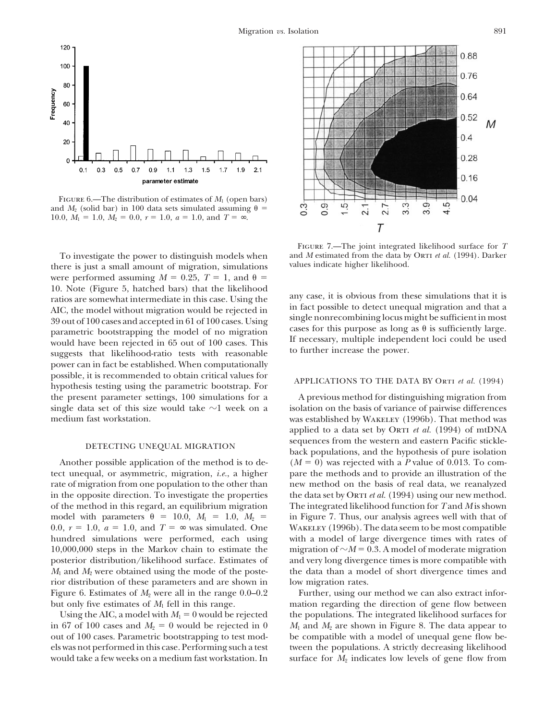

FIGURE 6.—The distribution of estimates of  $M_1$  (open bars) and  $M_2$  (solid bar) in 100 data sets simulated assuming  $\theta$  = 10.0,  $M_1 = 1.0$ ,  $M_2 = 0.0$ ,  $r = 1.0$ ,  $a = 1.0$ , and  $T = \infty$ .

To investigate the power to distinguish models when and *M* estimated from the data by orter is just a small amount of migration simulations values indicate higher likelihood. there is just a small amount of migration, simulations were performed assuming  $M = 0.25$ ,  $T = 1$ , and  $\theta =$ 10. Note (Figure 5, hatched bars) that the likelihood<br>
ratios are somewhat intermediate in this case. Using the<br>
AIC, the model without migration would be rejected in<br>
39 out of 100 cases and accepted in 61 of 100 cases. power can in fact be established. When computationally possible, it is recommended to obtain critical values for APPLICATIONS TO THE DATA BY ORTI *et al.* (1994) hypothesis testing using the parametric bootstrap. For the present parameter settings, 100 simulations for a A previous method for distinguishing migration from single data set of this size would take  $\sim$ 1 week on a isolation on the basis of variance of pairwise differences medium fast workstation. Was established by WAKELEY (1996b). That method was established by WAKELEY (1996b). That method was established by WAKELEY (1996b). That method was  $\frac{1}{2}$ 

rate of migration from one population to the other than new method on the basis of real data, we reanalyzed in the opposite direction. To investigate the properties the data set by ORTI *et al.* (1994) using our new method. of the method in this regard, an equilibrium migration The integrated likelihood function for *T* and *M* is shown model with parameters  $\theta = 10.0, M_1 = 1.0, M_2 = \text{in Figure 7. Thus, our analysis agrees well with that of }$ 0.0,  $r = 1.0$ ,  $a = 1.0$ , and  $T = \infty$  was simulated. One WAKELEY (1996b). The data seem to be most compatible hundred simulations were performed, each using with a model of large divergence times with rates of posterior distribution/likelihood surface. Estimates of and very long divergence times is more compatible with rior distribution of these parameters and are shown in low migration rates. Figure 6. Estimates of  $M_2$  were all in the range  $0.0-0.2$  Further, using our method we can also extract inforbut only five estimates of *M*<sup>1</sup> fell in this range. mation regarding the direction of gene flow between

in 67 of 100 cases and  $M_2 = 0$  would be rejected in 0 *M*<sub>1</sub> and  $M_2$  are shown in Figure 8. The data appear to out of 100 cases. Parametric bootstrapping to test mod- be compatible with a model of unequal gene flow beels was not performed in this case. Performing such a test tween the populations. A strictly decreasing likelihood would take a few weeks on a medium fast workstation. In surface for  $M_2$  indicates low levels of gene flow from



FIGURE 7.—The joint integrated likelihood surface for *T* and *M* estimated from the data by ORTI et al. (1994). Darker

applied to a data set by ORTI et al. (1994) of mtDNA sequences from the western and eastern Pacific stickle- DETECTING UNEQUAL MIGRATION back populations, and the hypothesis of pure isolation Another possible application of the method is to de-  $(M = 0)$  was rejected with a *P* value of 0.013. To comtect unequal, or asymmetric, migration, *i.e.*, a higher pare the methods and to provide an illustration of the 10,000,000 steps in the Markov chain to estimate the migration of  $\sim M = 0.3$ . A model of moderate migration *M*<sub>1</sub> and *M*<sub>2</sub> were obtained using the mode of the poste- the data than a model of short divergence times and

Using the AIC, a model with  $M_1 = 0$  would be rejected the populations. The integrated likelihood surfaces for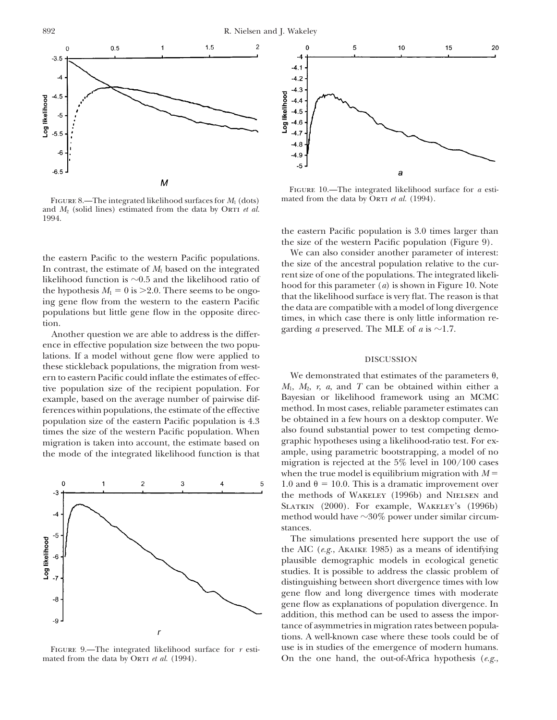



FIGURE 8.—The integrated likelihood surfaces for *M*<sub>1</sub> (dots) and  $M_2$  (solid lines) estimated from the data by ORTI *et al.* 1994.

ence in effective population size between the two populations. If a model without gene flow were applied to DISCUSSION these stickleback populations, the migration from western to eastern Pacific could inflate the estimates of effec-<br>tive population size of the recipient population For  $M_1$ ,  $M_2$ ,  $r$ ,  $a$ , and  $T$  can be obtained within either a *M*<sub>1</sub>, *M*<sub>2</sub>, *r*, *a*, and *T* can be obtained within either a example based on the average number of pairwise dif-<br>Bayesian or likelihood framework using an MCMC example, based on the average number of pairwise dif-<br>
ferences within populations the estimate of the effective method. In most cases, reliable parameter estimates can ferences within populations, the estimate of the effective method. In most cases, reliable parameter estimates can<br>nopulation size of the eastern Pacific population is 4.3 be obtained in a few hours on a desktop computer. population size of the eastern Pacific population is 4.3 be obtained in a few hours on a desktop computer. We<br>times the size of the western Pacific population. When also found substantial power to test competing demotimes the size of the western Pacific population. When also found substantial power to test competing demo-<br>migration is taken into account, the estimate based on graphic hypotheses using a likelihood-ratio test. For exmigration is taken into account, the estimate based on graphic hypotheses using a likelihood-ratio test. For ex-<br>the mode of the integrated likelihood function is that ample, using parametric bootstrapping, a model of no the mode of the integrated likelihood function is that



FIGURE 10.—The integrated likelihood surface for *a* esti-<br>mated from the data by ORTI *et al.* (1994).

the eastern Pacific population is 3.0 times larger than the size of the western Pacific population (Figure 9).

the eastern Pacific to the western Pacific populations.<br>
In contrast, the estimate of  $M_1$  based on the integrated<br>
likelihood function is ~0.5 and the likelihood ratio of<br>
the hypothesis  $M_1 = 0$  is >2.0. There seems to

migration is rejected at the 5% level in 100/100 cases when the true model is equilibrium migration with  $M =$ 1.0 and  $\theta$  = 10.0. This is a dramatic improvement over the methods of Wakeley (1996b) and Nielsen and SLATKIN (2000). For example, WAKELEY's (1996b) method would have  $\sim 30\%$  power under similar circumstances.

The simulations presented here support the use of the AIC (*e.g.*, Akaike 1985) as a means of identifying plausible demographic models in ecological genetic studies. It is possible to address the classic problem of distinguishing between short divergence times with low gene flow and long divergence times with moderate gene flow as explanations of population divergence. In addition, this method can be used to assess the importance of asymmetries in migration rates between populations. A well-known case where these tools could be of FIGURE 9.—The integrated likelihood surface for  $r$  esti-<br>use is in studies of the emergence of modern humans. mated from the data by Orti *et al.* (1994). On the one hand, the out-of-Africa hypothesis (*e.g.*,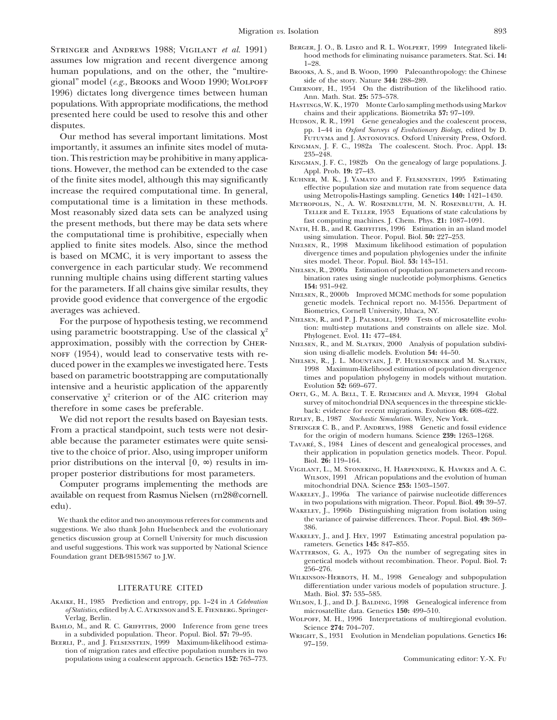STRINGER and ANDREWS 1988; VIGILANT *et al.* 1991) BERGER, J. O., B. LISEO and R. L. WOLPERT, 1999 Integrated likelihood methods for eliminating nuisance parameters. Stat. Sci. 14:<br>hood methods for eliminating nuisance pa human populations, and on the other, the "multire-<br>
BROOKS, A. S., and B. Woon, 1990 Paleoan<br>
side of the story. Nature 344: 288–289. side of the story. Nature **344:** 288–289.<br>CHERNOFF, H., 1954 On the distribution of the likelihood ratio. Physical of the distribution of the distribution of the distribution of the likelihood ratio. 1954 On the distribution of the likelihood ratio. 1970 Monte Car populations. With appropriate modifications, the method HasTING presented here could be used to resolve this and other

Our method has several important limitations. Most<br>
importantly, it assumes an infinite sites model of muta-<br>
KINGMAN, J. F. C., 1982a The coalescent. Stoch. Proc. Appl. 13: tion. This restriction may be prohibitive in many applications.<br>
However, the method can be extended to the case Appl. Prob. 19: 27–43. of the finite sites model, although this may significantly Kuhner, M. K., J. Yamato and F. Felsenstein, 1995 Estimating increase the required computational time. In general,<br>
computational time is a limitation in these methods.<br>
METROPOLIS, N., A. W. ROSENBLUTH, M. N. ROSENBLUTH, A. H.<br>
MOST reasonably sized data sets can be analyzed using<br> Most reasonably sized data sets can be analyzed using TELLER and E. TELLER, 1953 Equations of state calculations the present methods but there may be data sets where fast computing machines. J. Chem. Phys. 21: 1087-1091. the present methods, but there may be data sets where<br>the computing machines. J. Chem. Phys. 21: 108/-1091.<br>the computational time is prohibitive, especially when<br>applied to finite sites models. Also, since the method<br>NIEL applied to finite sites models. Also, since the method NIELSEN, R., 1998 Maximum likelihood estimation of population is based on MCMC it is very important to assess the divergence times and population phylogenies under the is based on MCMC, it is very important to assess the divergence times and population phylogenies under the infinite<br>convergence in each particular study. We recommend<br>running multiple chains using different starting values for the parameters. If all chains give similar results, they<br>provide good evidence that convergence of the ergodic<br>averages was achieved.<br>The Biometrics, Cornell University, Ithaca, NY.<br>Biometrics, Cornell University, Itha

approximation, possibly with the correction by CHER-NOFF (1954), would lead to conservative tests with resonance in the examples we investigated here. Tests<br>duced power in the examples we investigated here. Tests<br>based on parametric bootstrapping are computationally<br>has and intensive and a heuristic application of the apparently Evolution **52:** 669–677.

We did not report the results based on Bayesian tests. RIPLEY, B., 1987 *Stochastic Simulation*. Wiley, New York.<br>
STRINGER C. B., and P. ANDREWS, 1988 Genetic and fossil evidence From a practical standpoint, such tests were not desir-<br>able because the parameter estimates were quite sensi-<br>TAVARÉ, S., 1984 Lines of descent and genealogical processes, and tive to the choice of prior. Also, using improper uniform their application in population genetics models. Theor. Popul.<br>prior distributions on the interval  $[0, \infty)$  results in im-<br> $[0, \infty)$   $\frac{10}{26}$ :  $119-164$ .

Computer programs implementing the methods are mitochondrial DNA. Science 253: 1503–1507.<br>
ailable on request from Rasmus Nielsen (m28@cornell. WAKELEY, J., 1996a The variance of pairwise nucleotide differences available on request from Rasmus Nielsen (rn28@cornell. WAKELEY, J., 1996a The variance of pairwise nucleotide differences<br>
in two populations with migration. Theor. Popul. Biol. 49: 39–57.

We thank the editor and two anonymous referees for comments and the variance of pairwise differences. The variance of pairwise differences. The variance of pairwise differences. The system of  $\frac{386}{2}$ suggestions. We also thank John Huelsenbeck and the evolutionary and useful suggestions. We also thank John Huelsenbeck and the evolutionary and U.S. J., and J. HEY, 1997 Estimating ancestral population parameters discussi

- AKAIKE, H., 1985 Prediction and entropy, pp. 1-24 in *A Celebration of Statistics*, edited byA. C. Atkinson and S. E. Fienberg. Springer- microsatellite data. Genetics **150:** 499–510.
- BAHLO, M., and R. C. GRIFFITHS, 2000 Inference from gene trees in a subdivided population. Theor. Popul. Biol. 57: 79-95.
- BEERLI, P., and J. FELSENSTEIN, 1999 Maximum-likelihood estima- 97-159. tion of migration rates and effective population numbers in two populations using a coalescent approach. Genetics **152:** 763–773. Communicating editor: Y.-X. Fu
- 
- 
- 
- HASTINGS, W. K., 1970 Monte Carlo sampling methods using Markov chains and their applications. Biometrika 57: 97-109.
- Hubson, R. R., 1991 Gene genealogies and the coalescent process,<br>disputes. pp. 1–44 in *Oxford Surveys of Evolutionary Biology*, edited by D.<br>Our method has several important limitations. Most<br>FUTUYMA and LANTONOVICS. Oxfo
	-
	-
	-
	-
	-
	-
	- bination rates using single nucleotide polymorphisms. Genetics 154: 931-942.
	- Biometrics, Cornell University, Ithaca, NY.
- For the purpose of hypothesis testing, we recommend<br>using  $\lambda^2$  NIELSEN, R., and P. J. PALSBOLL, 1999 Tests of microsatellite evolu-<br>using parametric bootstrapping. Use of the classical  $\chi^2$  by the propert Figal 11: 47
	- Phylogenet. Evol. **11:** 477–484.
	-
- conservative  $\chi^2$  criterion or of the AIC criterion may better back. W. A. BELL, 1. E. KEIMCHEN and A. MEYER, 1994 GIODAL<br>therefore in some cases be preferable.<br>back: evidence for recent migrations. Evolution 48: 608–62
	-
	-
	-
- prior distributions on the interval  $[0, \infty)$  results in im-<br>proper posterior distributions for most parameters.<br>Computer programs implementing the methods are<br>mitochondrial DNA. Science 253: 1503-1507.
	-
- in two populations with migration. Theor. Popul. Biol. 49: 39–37.<br>WAKELEY, J., 1996b Distinguishing migration from isolation using<br>the variance of pairwise differences. Theor. Popul. Biol. 49: 369–
	-
	- 256–276.
	- Wilkinson-Herbots, H. M., 1998 Genealogy and subpopulation LITERATURE CITED differentiation under various models of population structure. J. Math. Biol. **37:** 535–585.<br>WILSON, I. J., and D. J. BALDING, 1998 Genealogical inference from
		-
		- WOLPOFF, M. H., 1996 Interpretations of multiregional evolution.<br>Science 274: 704-707.
		- WRIGHT, S., 1931 Evolution in Mendelian populations. Genetics 16: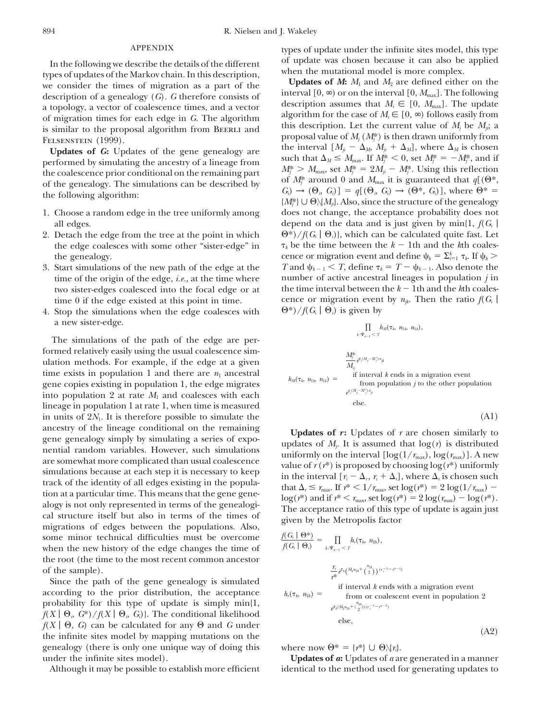In the following we describe the details of the different types of update was chosen because it can also be applied<br>types of updates of the Markov chain. In this description,<br>we consider the times of migration as a part o is similar to the proposal algorithm from BEERLI and

- 
- 2. Detach the edge from the tree at the point in which the edge coalesces with some other "sister-edge" in
- two sister-edges coalesced into the focal edge or at
- 4. Stop the simulations when the edge coalesces with a new sister-edge.

The simulations of the path of the edge are performed relatively easily using the usual coalescence simulation methods. For example, if the edge at a given time exists in population 1 and there are  $n_1$  ancestral gene copies existing in population 1, the edge migrates into population 2 at rate  $M<sub>1</sub>$  and coalesces with each lineage in population 1 at rate 1, when time is measured in units of  $2N<sub>1</sub>$ . It is therefore possible to simulate the  $(A1)$ ancestry of the lineage conditional on the remaining<br>gene genealogy simply by simulating a series of expo-<br>nential random variables. However, such simulations<br>are somewhat more complicated than usual coalescence<br>simulatio track of the identity of all edges existing in the population at a particular time. This means that the gene equal that  $\Delta_r \le r_{\text{max}}$ . If  $r^* < 1/r_{\text{max}}$ , set  $\log(r^*) = 2 \log(1/r_{\text{max}})$  -  $\log(r^*)$  and if  $r^* < r_{\text{max}}$ , set  $\$ some minor technical difficulties must be overcome when the new history of the edge changes the time of the root (the time to the most recent common ancestor of the sample).

Since the path of the gene genealogy is simulated according to the prior distribution, the acceptance probability for this type of update is simply min{1,  $f(X | \Theta_i, G^*)/f(X | \Theta_i, G_i)$ . The conditional likelihood  $f(X \mid \Theta, G)$  can be calculated for any  $\Theta$  and *G* under (A2) the infinite sites model by mapping mutations on the genealogy (there is only one unique way of doing this where now  $\Theta^* = \{r^*\} \cup \Theta_\mathcal{N}$  $r_i$ ). under the infinite sites model). **Updates of** *a***:** Updates of *a* are generated in a manner

APPENDIX types of update under the infinite sites model, this type

description of a genealogy (*G*). *G* therefore consists of a topology, a vector of coalescence times, and a vector description assumes that  $M_i \in [0, M_{\text{max}}]$ . The update a topology, a vector of coalescence times, and a v of migration times for each edge in *G*. The algorithm algorithm for the case of  $M_i \in [0, \infty)$  follows easily from it is eigenvalued by the *M<sub>i</sub>* and this description. Let the current value of *M<sub>i</sub>* be  $M_{ii}$ ; a proposal value of  $M_i(M_i^*)$  is then drawn uniformly from FELSENSTEIN (1999).<br> **Updates of G:** Updates of the gene genealogy are<br>
performed by simulating the ancestry of a lineage from<br>
the interval  $[M_{ji} - \Delta_{M}, M_{ji} + \Delta_{M}]$ , where  $\Delta_{M}$  is chosen<br>
performed by simulating the anc performed by simulating the ancestry of a lineage from<br>the coalescence prior conditional on the remaining part<br>of the genealogy. The simulations can be described by<br>the following algorithm:<br> $M_j^* > M_{\text{max}}$ , set  $M_j^* = 2M_{ji$  ${M_i^*}\cup \Theta_i{M_{ii}}$ . Also, since the structure of the genealogy 1. Choose a random edge in the tree uniformly among does not change, the acceptance probability does not all edges.<br>
depend on the data and is just given by min{1,  $f(G_i | G_i)$ <br>
Detach the edge from the tree at the point in which  $\Theta^*$ / $f(G_i | \Theta_i)$ }, which can be calculated quite fast. Let  $\tau_k$  be the time between the  $k-1$ th and the *k*<sup>th</sup> coalesthe genealogy.  $\qquad \qquad \text{cence or migration event and define } \psi_k = \sum_{i=1}^k \tau_{k^i} \text{ If } \psi_k > \text{.}$ 3. Start simulations of the new path of the edge at the  $T$  and  $\psi_{k-1} < T$ , define  $\tau_k = T - \psi_{k-1}$ . Also denote the time of the origin of the edge, *i.e.*, at the time where number of active ancestral lineages in population *j* in two sister-edges coalesced into the focal edge or at the time interval between the  $k - 1$ th and the *k*th time 0 if the edge existed at this point in time. cence or migration event by  $n_{jk}$ . Then the ratio  $f(G_i | \mathbf{G})$  to the simulations when the edge coalesces with  $\Theta^*$ *)*  $f(G_i | \Theta_i)$  is given by

$$
\prod_{k:\Psi_{k-1} < T} h_M(\tau_k, n_{1k}, n_{1k}),
$$
\n
$$
h_M(\tau_k, n_{1k}, n_{1k}) = \begin{cases}\n\frac{M_j^{\text{sk}}}{M_j} e^{\tau_j(M_j - M_j^*)n_{jk}} \\
\text{if interval } k \text{ ends in a migration event} \\
\text{from population } j \text{ to the other population} \\
e^{\tau_j(M_j - M_j^*)n_{jk}} \\
\text{else.} \n\end{cases}
$$

$$
\frac{f(G_i \mid \Theta^*)}{f(G_i \mid \Theta_i)} = \prod_{k:\Psi_{k-1} < T} h_r(\tau_k, n_{2k}),
$$
\n
$$
h_r(\tau_k, n_{2k}) = \begin{cases}\n\frac{r_i}{r^*} e^{r_k(M_2 n_{2k} + \frac{n_{2k}}{2}) (r_i^{-1} - r^{k-1})} \\
\frac{r_i}{r^*} e^{r_k(M_2 n_{2k} + \frac{n_{2k}}{2}) (r_i^{-1} - r^{k-1})} \\
\text{if interval } k \text{ ends with a migration event} \\
\text{from or coalescent event in population 2} \\
\frac{e^{r_k(M_2 n_{2k} + \frac{n_{2k}}{2}) (r_i^{-1} - r^{k-1})}}{\text{else,}}\n\end{cases}
$$

Although it may be possible to establish more efficient identical to the method used for generating updates to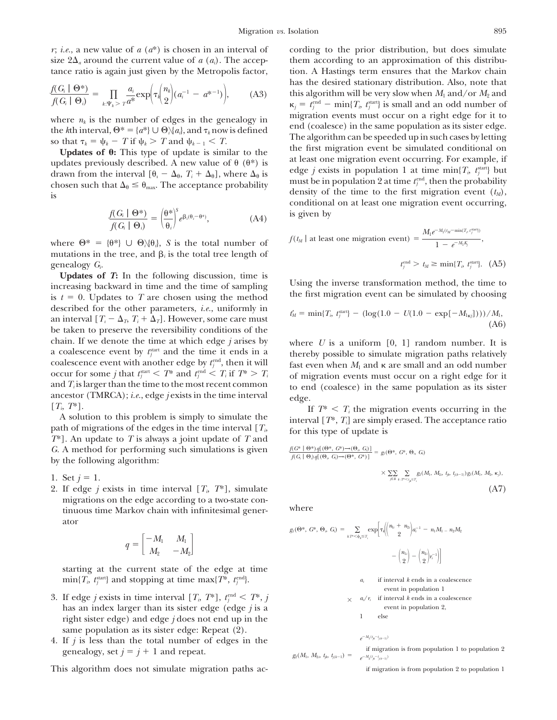*r*; *i.e.*, a new value of *a* ( $a^*$ ) is chosen in an interval of cording to the prior distribution, but does simulate size  $2\Delta_a$  around the current value of *a* (*a*<sub>i</sub>). The accep- them according to an approximation of this distribu-

$$
\frac{f(G_i \mid \Theta^*)}{f(G_i \mid \Theta_i)} = \prod_{k:\Psi_k > T} \frac{a_i}{a^*} \exp\left(\tau_k \left(\frac{n_k}{2}\right) (a_i^{-1} - a^{*-1})\right),\tag{A3}
$$

drawn from the interval  $[\theta_1 - \Delta_{\theta}, T_i + \Delta_{\theta}]$ , where  $\Delta_{\theta}$  is chosen such that  $\Delta_{\theta} \leq \theta_{\text{max}}$ . The acceptance probability density of the time to the first migration event  $(t_M)$ , is

$$
\frac{f(G_i \mid \Theta^*)}{f(G_i \mid \Theta_i)} = \left(\frac{\theta^*}{\theta_i}\right)^s e^{\beta_i(\theta_i - \theta^*)},\tag{A4}
$$

where  $\Theta^* = {\theta^*} \cup \Theta_i {\theta_i}$ , *S* is the total number of mutations in the tree, and  $\beta$ <sub>*i*</sub> is the total tree length of genealogy  $G_i$ . (A5)  $t_j^{\text{end}} > t_M \ge \min\{T_i, t_j^{\text{start}}\}.$  (A5)

**Updates of T:** In the following discussion, time is<br>increasing backward in time and the time of sampling<br>is  $t = 0$ . Updates to T are chosen using the method<br>the first migration event can be simulated by choosing described for the other parameters, *i.e.*, uniformly in an interval  $[T_i - \Delta_T, T_i + \Delta_T]$ . However, some care must *be taken to preserve the reversibility conditions of the* chain. If we denote the time at which edge *j* arises by where *U* is a uniform [0, 1] random number. It is a coalescence event by  $t_i^{\text{start}}$  and the time it ends in a *j* and the time it ends in a thereby possible to simulate migration paths relatively coalescence event with another edge by  $t_i^{\text{end}}$ , then it will fast even when *M*, and **K** are small and an odd number occur for some *j* that  $t_j^{\text{start}} < T^*$  and  $t_j^{\text{end}}$ occur for some *j* that  $t_j^{\text{start}} < T^*$  and  $t_j^{\text{end}} < T_j^*$  and  $t_j^{\text{end}} < T^*$  and  $t_j^{\text{end}} < T^*$  and  $t_j^{\text{end}} < T^*$  and  $t_j^{\text{end}} < T^*$  and  $t_j^{\text{end}} < T^*$  and  $t_j^{\text{end}} < T^*$  are the most recent common<br>ancestor (TMRCA); *i.* 

*G.* A method for performing such simulations is given by the following algorithm:

2. If edge *j* exists in time interval  $[T_i, T^*]$ , simulate (A7) migrations on the edge according to a two-state con-<br>tinuous time Markov chain with infinitesimal gener-<br>where ator

$$
q = \begin{bmatrix} -M_1 & M_1 \\ M_2 & -M_2 \end{bmatrix}
$$

starting at the current state of the edge at time  $\min\{T_i, t_j^{\text{start}}\}$  and stopping at time  $\max\{T^*, t_j^{\text{end}}\}.$ 

- 3. If edge *j* exists in time interval  $[T_i, T^*]$ ,  $t_j^{\text{end}} < T^*, j$ has an index larger than its sister edge (edge *j* is a right sister edge) and edge *j* does not end up in the same population as its sister edge: Repeat (2).
- 4. If *j* is less than the total number of edges in the genealogy, set  $j = j + 1$  and repeat.

This algorithm does not simulate migration paths ac-

tance ratio is again just given by the Metropolis factor, tion. A Hastings term ensures that the Markov chain has the desired stationary distribution. Also, note that this algorithm will be very slow when  $M_1$  and/or  $M_2$  and  $\kappa_j = t_j^{\text{end}} - \min\{T_i, t_j^{\text{start}}\}$  is small and an odd number of where  $n_k$  is the number of edges in the genealogy in<br>the kth interval,  $\Theta^* = \{a^*\} \cup \Theta_i\{a_i\}$ , and  $\tau_k$  now is defined<br>the kth interval,  $\Theta^* = \{a^*\} \cup \Theta_i\{a_i\}$ , and  $\tau_k$  now is defined<br>the algorithm can be speeded So that  $\tau_k = \psi_k - T$  if  $\psi_k > T$  and  $\psi_{k-1} < T$ .<br>
Indeed on the first migration event be simulated conditional on<br>
Indeed of **A**<sub>L</sub> This true of undete is similar to the the first migration event be simulated conditional o **Updates of 0:** This type of update is similar to the<br>updates previously described. A new value of  $\theta$  ( $\theta^*$ ) is at least one migration event occurring. For example, if<br>drawn from the interval  $\begin{bmatrix} \theta & -\Lambda & T + \Lambda \end{bmatrix}$ must be in population 2 at time  $t_i^{\text{end}}$ , then the probability conditional on at least one migration event occurring, *is* given by

$$
f(t_M \mid \text{at least one migration event}) = \frac{M_1 e^{-M_1(t_M - \min[T_p, t_j^{\text{start}}])}}{1 - e^{-M_1 K_j}},
$$
  

$$
t_j^{\text{end}} > t_M \ge \min\{T_j, t_j^{\text{start}}\}. \quad (A5)
$$

$$
t'_{M} = \min\{T_{i}, t_{j}^{\text{start}}\} - (\log(1.0 - U(1.0 - \exp[-M_{1\kappa j}])))/M_{1},
$$
\n(A6)

fast even when  $M_1$  and  $\kappa$  are small and an odd number

G. A method for performing such simulations is given

\n
$$
\frac{f(G^* | \Theta^*) q[(\Theta^*, G^*) \to (\Theta_0 G_1)]}{f(G_1 | \Theta) q[(\Theta_0 G_1) \to (\Theta^*, G^*)]} = g_1(\Theta^*, G^*, \Theta_0 G_1)
$$
\nby the following algorithm:

\n
$$
\frac{1}{f(G_1 | \Theta) q[(\Theta_0 G_1) \to (\Theta^*, G^*)]} \times \sum_{j \in B} \sum_{k: T^* \leq l_k \leq T_j} g_2(M_1, M_2, l_2, l_3 \to (M_1, M_2, K_j))
$$
\nand

\n
$$
\frac{1}{f(G_1 | \Theta) q[(\Theta_0 G_1) \to (\Theta^*, G^*)]} = g_1(\Theta^*, G^*, \Theta_0 G_1)
$$
\nand

\n
$$
\frac{1}{f(G_1 | \Theta) q[(\Theta_0 G_1) \to (\Theta^*, G^*)]} = g_1(\Theta^*, G^*, \Theta_0 G_1)
$$
\nand

\n
$$
\frac{1}{f(G_1 | \Theta) q[(\Theta_0 G_1) \to (\Theta^*, G^*)]} = g_1(\Theta^*, G^*, \Theta_0 G_1)
$$
\nand

\n
$$
\frac{1}{f(G_1 | \Theta) q[(\Theta_0 G_1) \to (\Theta^*, G^*)]} = g_1(\Theta^*, G^*, \Theta_0 G_1)
$$
\nand

\n
$$
\frac{1}{f(G_1 | \Theta) q[(\Theta_0 G_1) \to (\Theta^*, G^*)]}
$$
\nand

\n
$$
\frac{1}{f(G_1 | \Theta) q[(\Theta_0 G_1) \to (\Theta^*, G^*)]}
$$
\nand

\n
$$
\frac{1}{f(G_1 | \Theta) q[(\Theta_0 G_1) \to (\Theta^*, G^*)]}
$$
\nand

\n
$$
\frac{1}{f(G_1 | \Theta) q[(\Theta_0 G_1) \to (\Theta^*, G^*)]}
$$
\nand

\n
$$
\frac{1}{f(G_1 | \Theta) q[(\Theta_0 G_1) \to (\Theta^*, G^*)]}
$$
\nand

\n
$$
\frac{1}{f(G_1 | \Theta) q[(\Theta^*, G^*)]}
$$
\nand

$$
g_1(\Theta^*, G^*, \Theta_i, G_i) = \sum_{kT^* \le \psi_k \le T_i} \exp\left[\tau_n \left( \frac{n_{li} + n_{2l}}{2} \right) a_i^{-1} - n_1 M_1 - n_2 M_2 \right.\n\left. - \left( \frac{n_{1l}}{2} \right) - \left( \frac{n_{2l}}{2} \right) r_i^{-1} \right) \right]
$$
\n
$$
- \left( \frac{n_{1l}}{2} \right) - \left( \frac{n_{2l}}{2} \right) r_i^{-1} \right]
$$
\n
$$
\times \begin{cases} a_i & \text{if interval } k \text{ ends in a coalescence} \\ a_i / r_i & \text{if interval } k \text{ ends in a coalescence} \end{cases}
$$

$$
\begin{bmatrix}\n a_{ij} & n_{11} & \dots & n_{1n} \\
 \vdots & \vdots & \ddots & \vdots \\
 1 & \text{else}\n\end{bmatrix}
$$

$$
g_2(M_1, M_2, t_{jk}, t_{j(k-1)}) = \begin{cases} e^{-M_1(t_{jk} - t_{j(k-1)})} & \text{if migration is from population 1 to population 2} \\ e^{-M_2(t_{jk} - t_{j(k-1)})} & \text{if migration is from population 2 to population 1} \\ \text{if migration is from population 2 to population 1} \end{cases}
$$